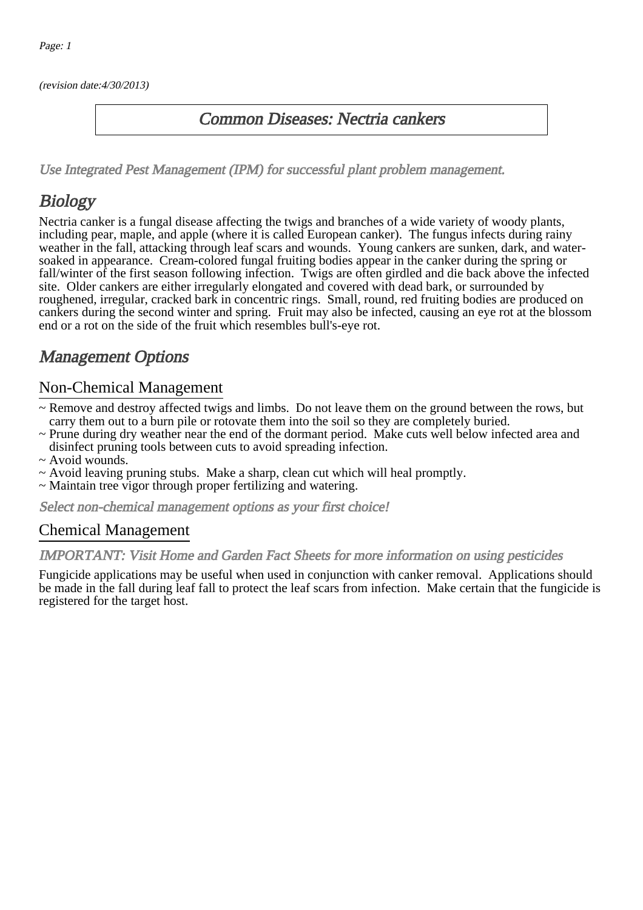(revision date:4/30/2013)

### Common Diseases: Nectria cankers

[Use Integrated Pest Management \(IPM\) for successful plant problem management.](http://pep.wsu.edu/Home_Garden/H_G_Pesticide_info/urban_Integrated_Pest_Managmen/)

## Biology

Nectria canker is a fungal disease affecting the twigs and branches of a wide variety of woody plants, including pear, maple, and apple (where it is called European canker). The fungus infects during rainy weather in the fall, attacking through leaf scars and wounds. Young cankers are sunken, dark, and watersoaked in appearance. Cream-colored fungal fruiting bodies appear in the canker during the spring or fall/winter of the first season following infection. Twigs are often girdled and die back above the infected site. Older cankers are either irregularly elongated and covered with dead bark, or surrounded by roughened, irregular, cracked bark in concentric rings. Small, round, red fruiting bodies are produced on cankers during the second winter and spring. Fruit may also be infected, causing an eye rot at the blossom end or a rot on the side of the fruit which resembles bull's-eye rot.

## Management Options

#### Non-Chemical Management

- ~ Remove and destroy affected twigs and limbs. Do not leave them on the ground between the rows, but carry them out to a burn pile or rotovate them into the soil so they are completely buried.
- ~ Prune during dry weather near the end of the dormant period. Make cuts well below infected area and disinfect pruning tools between cuts to avoid spreading infection.
- ~ Avoid wounds.
- ~ Avoid leaving pruning stubs. Make a sharp, clean cut which will heal promptly.
- ~ Maintain tree vigor through proper fertilizing and watering.

Select non-chemical management options as your first choice!

#### Chemical Management

#### IMPORTANT: [Visit Home and Garden Fact Sheets for more information on using pesticides](http://pep.wsu.edu/Home_Garden/H_G_Pesticide_info/)

Fungicide applications may be useful when used in conjunction with canker removal. Applications should be made in the fall during leaf fall to protect the leaf scars from infection. Make certain that the fungicide is registered for the target host.